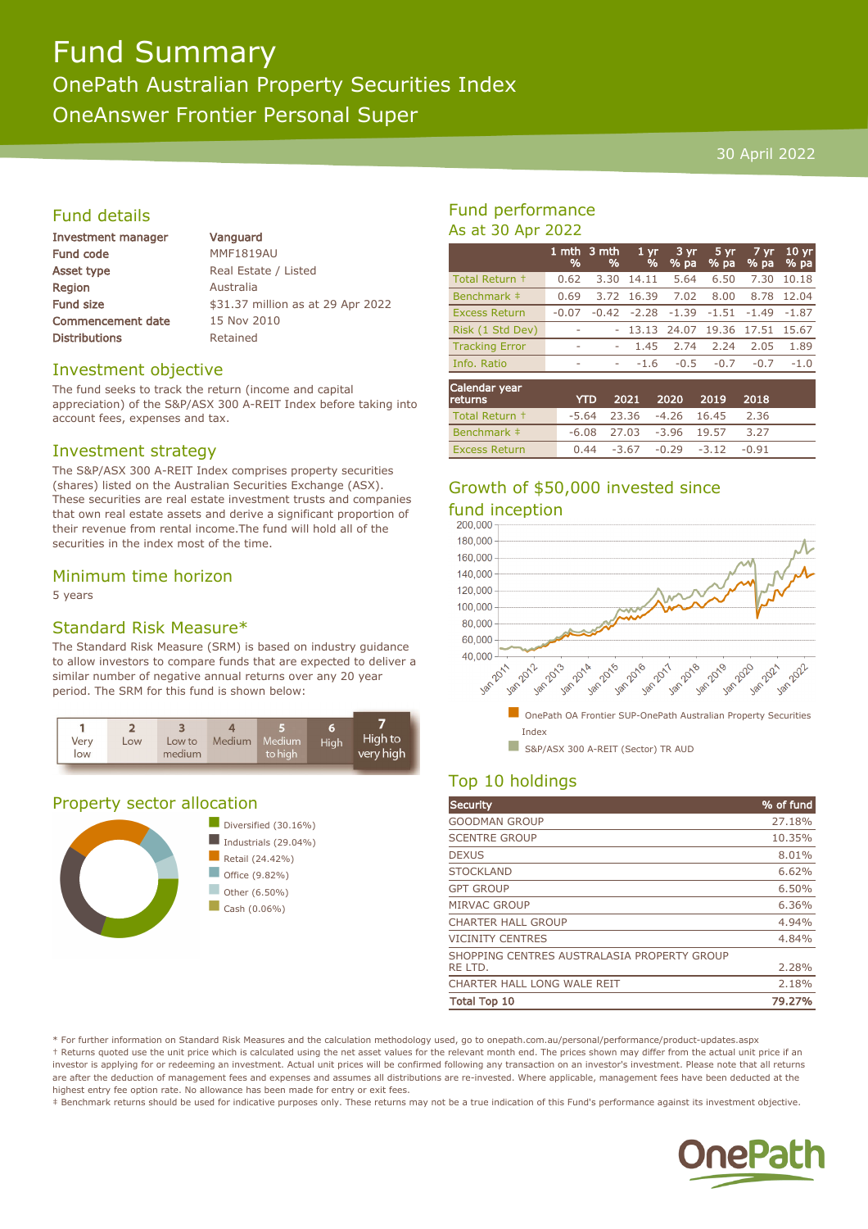# Fund Summary OnePath Australian Property Securities Index OneAnswer Frontier Personal Super

#### 30 April 2022

### Fund details

| Investment manager       | Vanguar          |
|--------------------------|------------------|
| Fund code                | <b>MMF1819</b>   |
| Asset type               | <b>Real Esta</b> |
| <b>Region</b>            | Australia        |
| Fund size                | \$31.37 n        |
| <b>Commencement date</b> | 15 Nov 2         |
| <b>Distributions</b>     | Retained         |
|                          |                  |

1**uard**  $1819AU$ Estate / Listed 37 million as at 29 Apr 2022  $\log 2010$ 

#### Investment objective

The fund seeks to track the return (income and capital appreciation) of the S&P/ASX 300 A-REIT Index before taking into account fees, expenses and tax.

#### Investment strategy

The S&P/ASX 300 A-REIT Index comprises property securities (shares) listed on the Australian Securities Exchange (ASX). These securities are real estate investment trusts and companies that own real estate assets and derive a significant proportion of their revenue from rental income.The fund will hold all of the securities in the index most of the time.

### Minimum time horizon

5 years

# Standard Risk Measure\*

The Standard Risk Measure (SRM) is based on industry guidance to allow investors to compare funds that are expected to deliver a similar number of negative annual returns over any 20 year period. The SRM for this fund is shown below:



# Property sector allocation



## Fund performance As at 30 Apr 2022

|                                 | %       | 1 mth $\overline{3}$ mth<br>% | 1 <sub>yr</sub><br>% | 3 yr<br>% pa | 5 yr<br>% pa | 7 yr<br>% pa | 10 <sub>yr</sub><br>% pa |
|---------------------------------|---------|-------------------------------|----------------------|--------------|--------------|--------------|--------------------------|
| Total Return +                  | 0.62    | 3.30                          | 14.11                | 5.64         | 6.50         | 7.30         | 10.18                    |
| Benchmark #                     | 0.69    | 3.72                          | 16.39                | 7.02         | 8.00         | 8.78         | 12.04                    |
| <b>Excess Return</b>            | $-0.07$ | $-0.42$                       | $-2.28$              | $-1.39$      | $-1.51$      | $-1.49$      | $-1.87$                  |
| Risk (1 Std Dev)                |         |                               | 13.13                | 24.07        | 19.36        | 17.51        | 15.67                    |
| <b>Tracking Error</b>           | ۰       | ۰                             | 1.45                 | 2.74         | 2.24         | 2.05         | 1.89                     |
| Info. Ratio                     | ۰       | ۰                             | $-1.6$               | $-0.5$       | $-0.7$       | $-0.7$       | $-1.0$                   |
| Calendar year<br><b>PORTION</b> |         | <b>VTD</b>                    | 1001.                | הרחר         | <b>2010</b>  | 2010         |                          |

| <b>returns</b>       | <b>YTD</b> |                             | 2021 2020 2019 2018            |      |  |
|----------------------|------------|-----------------------------|--------------------------------|------|--|
| Total Return +       |            | $-5.64$ 23.36 $-4.26$ 16.45 |                                | 2.36 |  |
| Benchmark ‡          |            | $-6.08$ 27.03 $-3.96$ 19.57 |                                | 3.27 |  |
| <b>Excess Return</b> |            |                             | $0.44 -3.67 -0.29 -3.12 -0.91$ |      |  |

# Growth of \$50,000 invested since fund inception<br>200.000



# Top 10 holdings

| Security                                    | % of fund |
|---------------------------------------------|-----------|
| <b>GOODMAN GROUP</b>                        | 27.18%    |
| <b>SCENTRE GROUP</b>                        | 10.35%    |
| <b>DEXUS</b>                                | 8.01%     |
| <b>STOCKLAND</b>                            | 6.62%     |
| <b>GPT GROUP</b>                            | 6.50%     |
| <b>MIRVAC GROUP</b>                         | 6.36%     |
| <b>CHARTER HALL GROUP</b>                   | 4.94%     |
| <b>VICINITY CENTRES</b>                     | 4.84%     |
| SHOPPING CENTRES AUSTRALASIA PROPERTY GROUP |           |
| RE LTD.                                     | 2.28%     |
| CHARTER HALL LONG WALE REIT                 | 2.18%     |
| <b>Total Top 10</b>                         | 79.27%    |

\* For further information on Standard Risk Measures and the calculation methodology used, go to onepath.com.au/personal/performance/product-updates.aspx † Returns quoted use the unit price which is calculated using the net asset values for the relevant month end. The prices shown may differ from the actual unit price if an investor is applying for or redeeming an investment. Actual unit prices will be confirmed following any transaction on an investor's investment. Please note that all returns are after the deduction of management fees and expenses and assumes all distributions are re-invested. Where applicable, management fees have been deducted at the highest entry fee option rate. No allowance has been made for entry or exit fees.

‡ Benchmark returns should be used for indicative purposes only. These returns may not be a true indication of this Fund's performance against its investment objective.